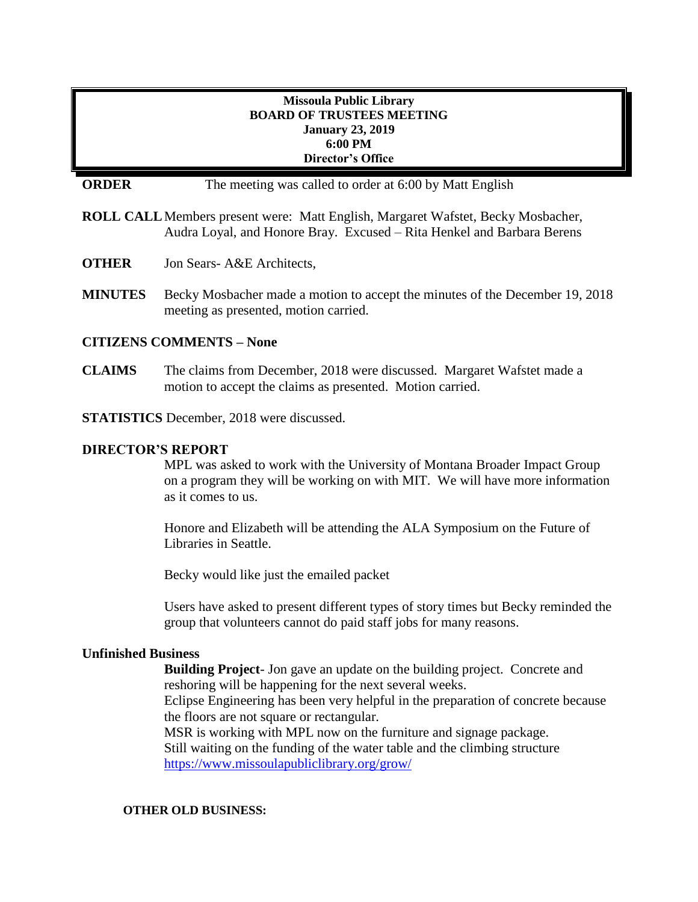# **Missoula Public Library BOARD OF TRUSTEES MEETING January 23, 2019 6:00 PM Director's Office**

**ORDER** The meeting was called to order at 6:00 by Matt English

**ROLL CALL**Members present were: Matt English, Margaret Wafstet, Becky Mosbacher, Audra Loyal, and Honore Bray. Excused – Rita Henkel and Barbara Berens

**OTHER** Jon Sears- A&E Architects,

**MINUTES** Becky Mosbacher made a motion to accept the minutes of the December 19, 2018 meeting as presented, motion carried.

## **CITIZENS COMMENTS – None**

**CLAIMS** The claims from December, 2018 were discussed. Margaret Wafstet made a motion to accept the claims as presented. Motion carried.

**STATISTICS** December, 2018 were discussed.

## **DIRECTOR'S REPORT**

MPL was asked to work with the University of Montana Broader Impact Group on a program they will be working on with MIT. We will have more information as it comes to us.

Honore and Elizabeth will be attending the ALA Symposium on the Future of Libraries in Seattle.

Becky would like just the emailed packet

Users have asked to present different types of story times but Becky reminded the group that volunteers cannot do paid staff jobs for many reasons.

## **Unfinished Business**

**Building Project**- Jon gave an update on the building project. Concrete and reshoring will be happening for the next several weeks.

Eclipse Engineering has been very helpful in the preparation of concrete because the floors are not square or rectangular.

MSR is working with MPL now on the furniture and signage package. Still waiting on the funding of the water table and the climbing structure <https://www.missoulapubliclibrary.org/grow/>

#### **OTHER OLD BUSINESS:**